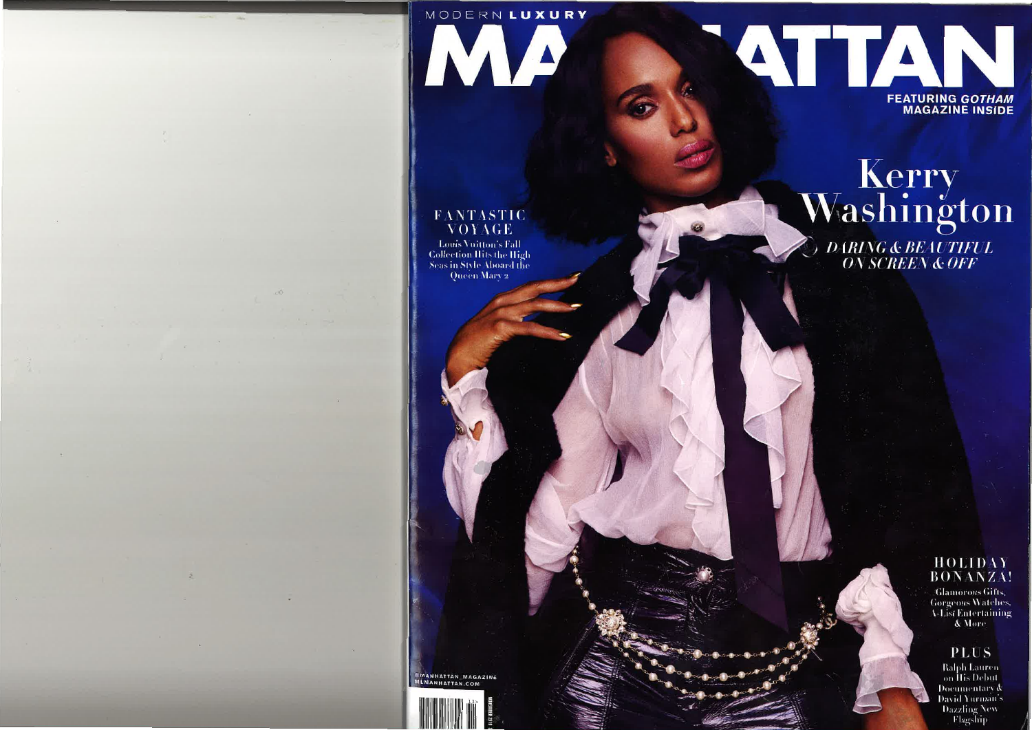# MODERN LUXURY

IVIA

# ATTAN **FEATURING GOTHAM MAGAZINE INSIDE**

## **FANTASTIC** VOYAGE

**Louis Vuitton's Fall Collection Hits the High Seas in Style Aboard the Oucen Mary 2** 

Kerry<br>Washington **DARING & BEAUTIFUL<br>ON SCREEN & OFF** 

> HOLIDAY **BONANZA!**

**Glamorous Gifts. Gorgeous Watches, A-List Entertaining** & More

**PLUS** 

**Ralph Lauren** on *His Debut* Documentary & David Yurman's **Dazzling New** Flagship

MANHATTAN MAGAZINE MLMANHATTAN.COM

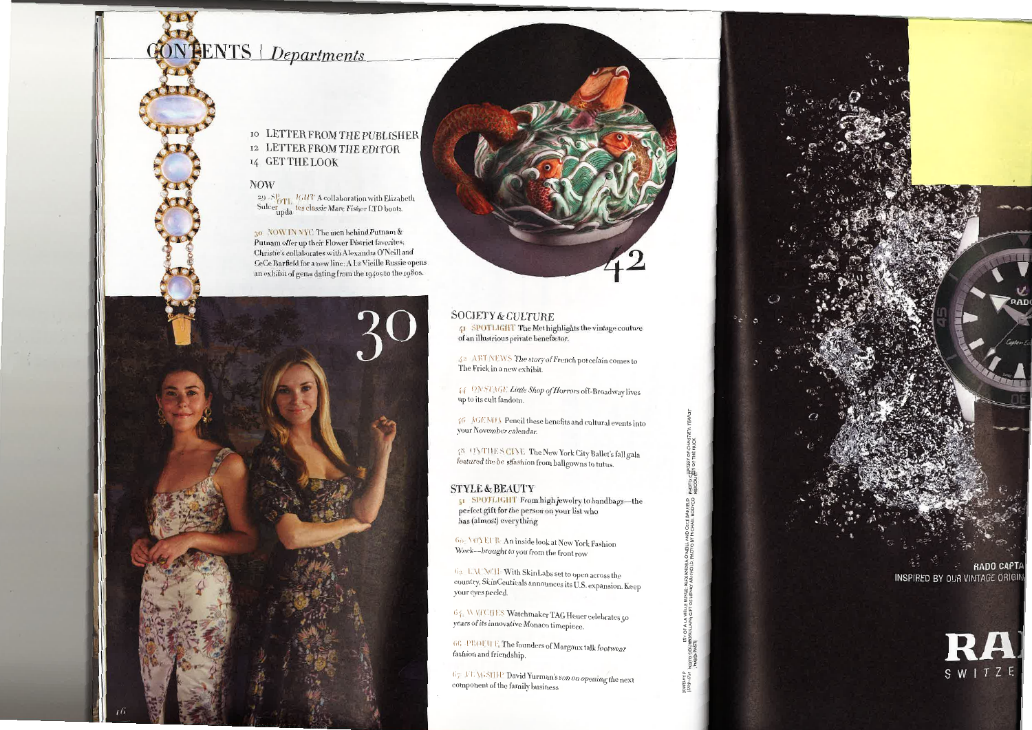# **PENTS** Departments

### 10 LETTER FROM THE PUBLISHER 12 LETTER FROM THE EDITOR 14 GET THE LOOK

#### **NOW**

 $^{29}$  -SP<sub>OTL</sub> IGHT A collaboration with Elizabeth Sulcer upda tes classic Marc Fisher LTD boots.

30 NOW INNYC The men behind Putnam & Putnam offer up their Flower District favorites: Christie's collaborates with Alexandra O'Neill and CeCe Barfield for a new line; A La Vieille Russie opens an exhibit of gems dating from the 1940s to the 1980s.



#### **SOCIETY & CULTURE**

41 SPOTLIGHT The Met highlights the vintage couture of an illustrious private benefactor.

42 ART NEWS The story of French porcelain comes to The Frick in a new exhibit-

44 ONSTAGE Little Shop of Horrors off-Broadway lives up to its cult fandom.

46 AGENDA Pencil these benefits and cultural events into your November calendar.

48 (TVTHE S CIVE The New York City Ballet's fall gala featured the be stfashion from ballgowns to tutus.

#### **STYLE & BEAUTY**

51 SPOTLIGHT From high jewelry to handbags-the perfect gift for the person on your list who has (almost) everything

Go NOYEUR: An inside look at New York Fashion Week-brought to you from the front row

6a L. W. M.H - With SkinLabs set to open across the country, SkinCeuticals announces its U.S. expansion. Keep your eyes pecled.

 $6\, {\hat t}_\pm$  W VFCHES Watchmaker TAG Heuer celebrates 50 years of its innovative Monaco timepiece.

66 PROFILE The founders of Margaux talk footwear fashion and friendship.

67 FL \GSHE David Yurman's son on opening the next component of the family business